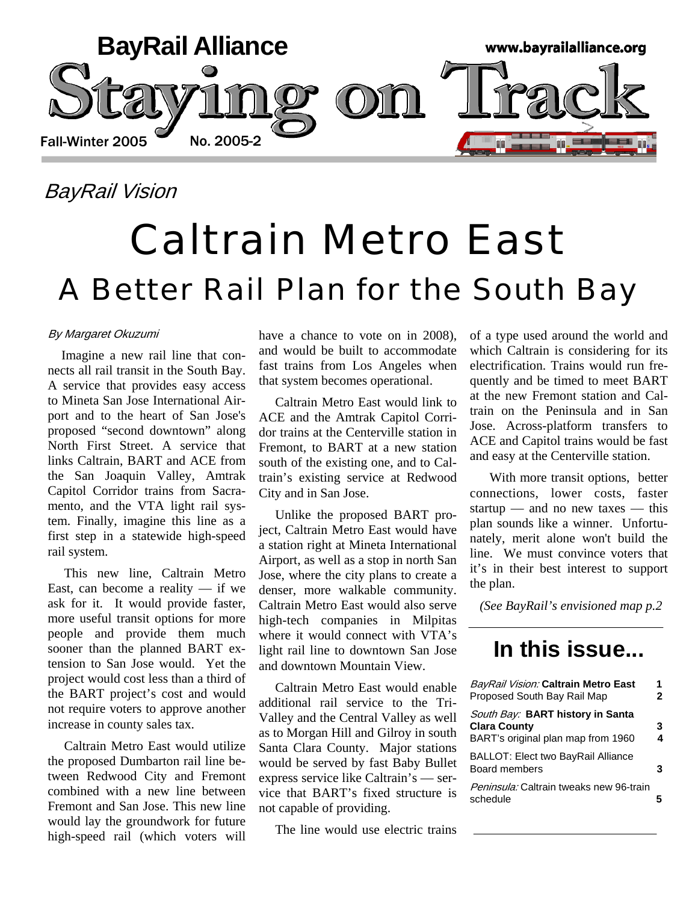

### BayRail Vision

# Caltrain Metro East A Better Rail Plan for the South Bay

### By Margaret Okuzumi

 Imagine a new rail line that connects all rail transit in the South Bay. A service that provides easy access to Mineta San Jose International Airport and to the heart of San Jose's proposed "second downtown" along North First Street. A service that links Caltrain, BART and ACE from the San Joaquin Valley, Amtrak Capitol Corridor trains from Sacramento, and the VTA light rail system. Finally, imagine this line as a first step in a statewide high-speed rail system.

 This new line, Caltrain Metro East, can become a reality  $-$  if we ask for it. It would provide faster, more useful transit options for more people and provide them much sooner than the planned BART extension to San Jose would. Yet the project would cost less than a third of the BART project's cost and would not require voters to approve another increase in county sales tax.

 Caltrain Metro East would utilize the proposed Dumbarton rail line between Redwood City and Fremont combined with a new line between Fremont and San Jose. This new line would lay the groundwork for future high-speed rail (which voters will

have a chance to vote on in 2008), and would be built to accommodate fast trains from Los Angeles when that system becomes operational.

 Caltrain Metro East would link to ACE and the Amtrak Capitol Corridor trains at the Centerville station in Fremont, to BART at a new station south of the existing one, and to Caltrain's existing service at Redwood City and in San Jose.

 Unlike the proposed BART project, Caltrain Metro East would have a station right at Mineta International Airport, as well as a stop in north San Jose, where the city plans to create a denser, more walkable community. Caltrain Metro East would also serve high-tech companies in Milpitas where it would connect with VTA's light rail line to downtown San Jose and downtown Mountain View.

 Caltrain Metro East would enable additional rail service to the Tri-Valley and the Central Valley as well as to Morgan Hill and Gilroy in south Santa Clara County. Major stations would be served by fast Baby Bullet express service like Caltrain's — service that BART's fixed structure is not capable of providing.

The line would use electric trains

of a type used around the world and which Caltrain is considering for its electrification. Trains would run frequently and be timed to meet BART at the new Fremont station and Caltrain on the Peninsula and in San Jose. Across-platform transfers to ACE and Capitol trains would be fast and easy at the Centerville station.

 With more transit options, better connections, lower costs, faster startup — and no new taxes — this plan sounds like a winner. Unfortunately, merit alone won't build the line. We must convince voters that it's in their best interest to support the plan.

 *(See BayRail's envisioned map p.2*

### **In this issue...**

| BayRail Vision: Caltrain Metro East<br>Proposed South Bay Rail Map                            | 1<br>2 |  |
|-----------------------------------------------------------------------------------------------|--------|--|
| South Bay: BART history in Santa<br><b>Clara County</b><br>BART's original plan map from 1960 | 3<br>4 |  |
| BALLOT: Elect two BayRail Alliance<br>Board members                                           | 3      |  |
| Peninsula: Caltrain tweaks new 96-train<br>schedule                                           |        |  |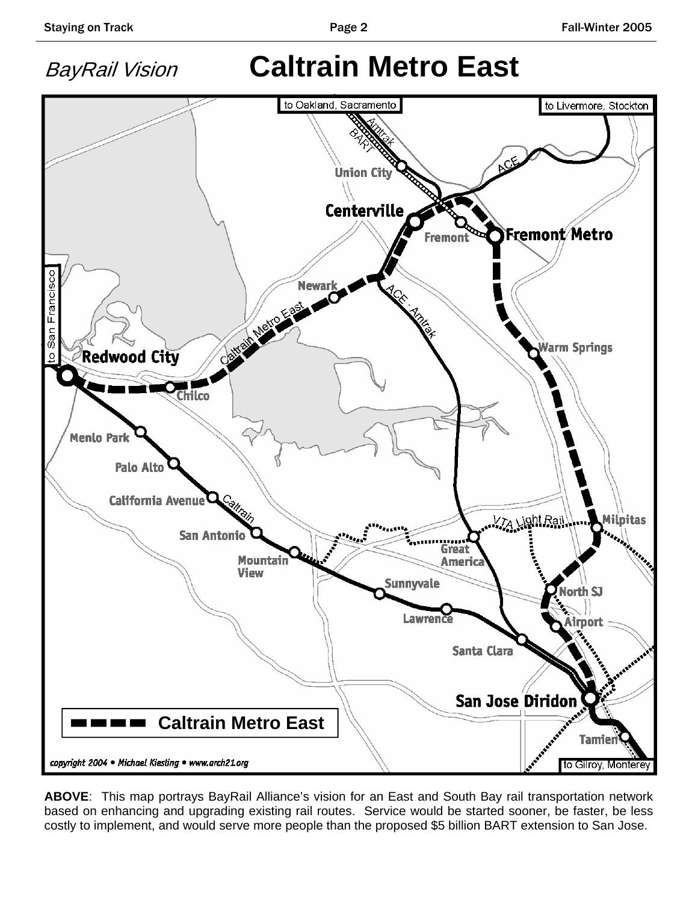

**ABOVE**: This map portrays BayRail Alliance's vision for an East and South Bay rail transportation network based on enhancing and upgrading existing rail routes. Service would be started sooner, be faster, be less costly to implement, and would serve more people than the proposed \$5 billion BART extension to San Jose.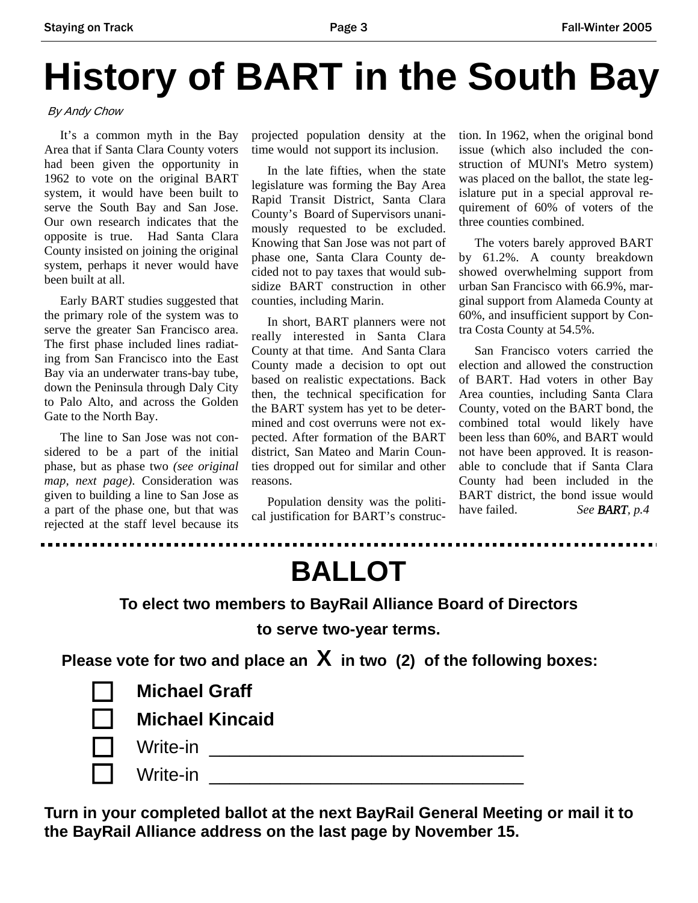# **History of BART in the South Bay**

By Andy Chow

 It's a common myth in the Bay Area that if Santa Clara County voters had been given the opportunity in 1962 to vote on the original BART system, it would have been built to serve the South Bay and San Jose. Our own research indicates that the opposite is true. Had Santa Clara County insisted on joining the original system, perhaps it never would have been built at all.

 Early BART studies suggested that the primary role of the system was to serve the greater San Francisco area. The first phase included lines radiating from San Francisco into the East Bay via an underwater trans-bay tube, down the Peninsula through Daly City to Palo Alto, and across the Golden Gate to the North Bay.

 The line to San Jose was not considered to be a part of the initial phase, but as phase two *(see original map, next page)*. Consideration was given to building a line to San Jose as a part of the phase one, but that was rejected at the staff level because its

D

projected population density at the time would not support its inclusion.

 In the late fifties, when the state legislature was forming the Bay Area Rapid Transit District, Santa Clara County's Board of Supervisors unanimously requested to be excluded. Knowing that San Jose was not part of phase one, Santa Clara County decided not to pay taxes that would subsidize BART construction in other counties, including Marin.

 In short, BART planners were not really interested in Santa Clara County at that time. And Santa Clara County made a decision to opt out based on realistic expectations. Back then, the technical specification for the BART system has yet to be determined and cost overruns were not expected. After formation of the BART district, San Mateo and Marin Counties dropped out for similar and other reasons.

 Population density was the political justification for BART's construction. In 1962, when the original bond issue (which also included the construction of MUNI's Metro system) was placed on the ballot, the state legislature put in a special approval requirement of 60% of voters of the three counties combined.

 The voters barely approved BART by 61.2%. A county breakdown showed overwhelming support from urban San Francisco with 66.9%, marginal support from Alameda County at 60%, and insufficient support by Contra Costa County at 54.5%.

 San Francisco voters carried the election and allowed the construction of BART. Had voters in other Bay Area counties, including Santa Clara County, voted on the BART bond, the combined total would likely have been less than 60%, and BART would not have been approved. It is reasonable to conclude that if Santa Clara County had been included in the BART district, the bond issue would have failed. *See BART, p.4*

**\*\*\*\*\*\*\*\*\*\*\*\*\*\*\*\*\*\*\*\*\*\*\*\*\*\***\*

**BALLOT** 

**To elect two members to BayRail Alliance Board of Directors** 

**to serve two-year terms.** 

**Please vote for two and place an X in two (2) of the following boxes:** 

| <b>Michael Graff</b>   |
|------------------------|
| <b>Michael Kincaid</b> |
| Write-in               |
| Write-in               |

**Turn in your completed ballot at the next BayRail General Meeting or mail it to the BayRail Alliance address on the last page by November 15.**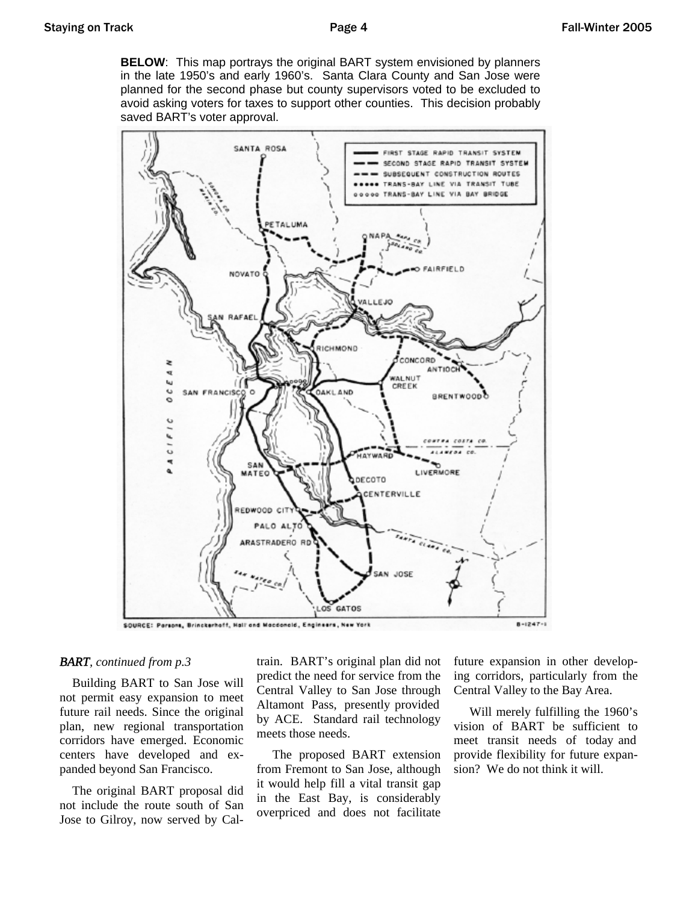**BELOW**: This map portrays the original BART system envisioned by planners in the late 1950's and early 1960's. Santa Clara County and San Jose were planned for the second phase but county supervisors voted to be excluded to avoid asking voters for taxes to support other counties. This decision probably saved BART's voter approval.



### *BART, continued from p.3*

 Building BART to San Jose will not permit easy expansion to meet future rail needs. Since the original plan, new regional transportation corridors have emerged. Economic centers have developed and expanded beyond San Francisco.

 The original BART proposal did not include the route south of San Jose to Gilroy, now served by Caltrain. BART's original plan did not predict the need for service from the Central Valley to San Jose through Altamont Pass, presently provided by ACE. Standard rail technology meets those needs.

 The proposed BART extension from Fremont to San Jose, although it would help fill a vital transit gap in the East Bay, is considerably overpriced and does not facilitate

future expansion in other developing corridors, particularly from the Central Valley to the Bay Area.

 Will merely fulfilling the 1960's vision of BART be sufficient to meet transit needs of today and provide flexibility for future expansion? We do not think it will.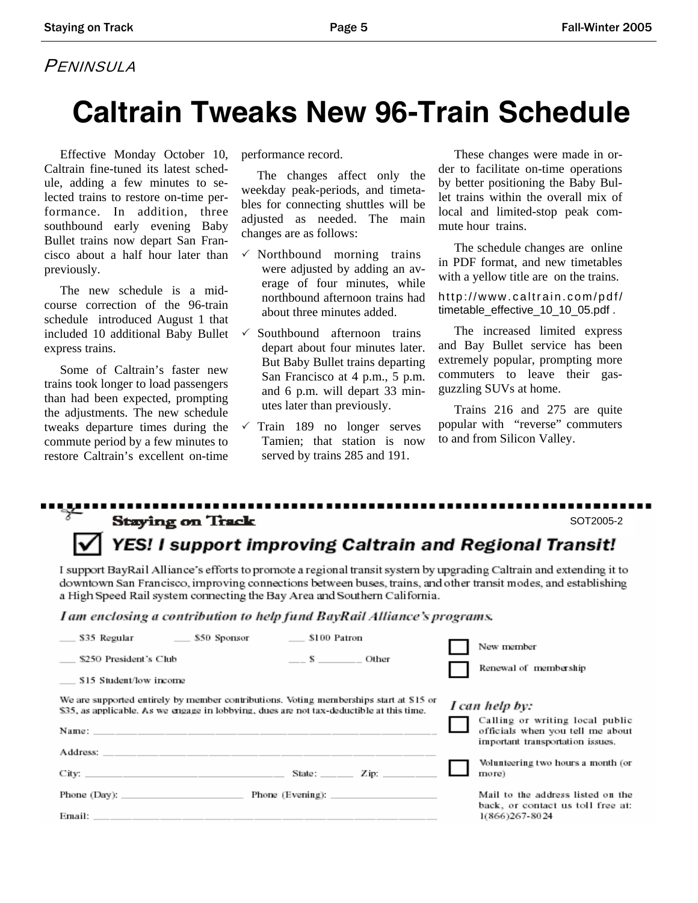### PENINSULA

## **Caltrain Tweaks New 96-Train Schedule**

 Effective Monday October 10, Caltrain fine-tuned its latest schedule, adding a few minutes to selected trains to restore on-time performance. In addition, three southbound early evening Baby Bullet trains now depart San Francisco about a half hour later than previously.

 The new schedule is a midcourse correction of the 96-train schedule introduced August 1 that included 10 additional Baby Bullet express trains.

 Some of Caltrain's faster new trains took longer to load passengers than had been expected, prompting the adjustments. The new schedule tweaks departure times during the commute period by a few minutes to restore Caltrain's excellent on-time performance record.

 The changes affect only the weekday peak-periods, and timetables for connecting shuttles will be adjusted as needed. The main changes are as follows:

- $\checkmark$  Northbound morning trains were adjusted by adding an average of four minutes, while northbound afternoon trains had about three minutes added.
- Southbound afternoon trains depart about four minutes later. But Baby Bullet trains departing San Francisco at 4 p.m., 5 p.m. and 6 p.m. will depart 33 minutes later than previously.
- $\sqrt{\ }$  Train 189 no longer serves Tamien; that station is now served by trains 285 and 191.

 These changes were made in order to facilitate on-time operations by better positioning the Baby Bullet trains within the overall mix of local and limited-stop peak commute hour trains.

 The schedule changes are online in PDF format, and new timetables with a yellow title are on the trains.

http://www.caltrain.com/pdf/ timetable\_effective\_10\_10\_05.pdf .

 The increased limited express and Bay Bullet service has been extremely popular, prompting more commuters to leave their gasguzzling SUVs at home.

 Trains 216 and 275 are quite popular with "reverse" commuters to and from Silicon Valley.

#### .................... . . . . . . . . . **Staying on Track** SOT2005-2

### YES! I support improving Caltrain and Regional Transit!

I support BayRail Alliance's efforts to promote a regional transit system by upgrading Caltrain and extending it to downtown San Francisco, improving connections between buses, trains, and other transit modes, and establishing a High Speed Rail system connecting the Bay Area and Southern California.

I am enclosing a contribution to help fund BayRail Alliance's programs.

|                                                                                                                                                                                    | \$35 Regular - \$50 Sponsor - \$100 Patron |         |                                  | New member                                                                                                                |  |
|------------------------------------------------------------------------------------------------------------------------------------------------------------------------------------|--------------------------------------------|---------|----------------------------------|---------------------------------------------------------------------------------------------------------------------------|--|
| \$250 President's Club                                                                                                                                                             |                                            | S Other |                                  | Renewal of membership                                                                                                     |  |
| S15 Student/low income                                                                                                                                                             |                                            |         |                                  |                                                                                                                           |  |
| We are supported entirely by member contributions. Voting memberships start at \$15 or<br>\$35, as applicable. As we engage in lobbying, dues are not tax-deductible at this time. |                                            |         |                                  | I can help by:<br>Calling or writing local public<br>officials when you tell me about<br>important transportation issues. |  |
|                                                                                                                                                                                    |                                            |         |                                  | Volunteering two hours a month (or<br>more)                                                                               |  |
| Phone $(Day)$ :                                                                                                                                                                    |                                            |         | Phone (Evening): $\qquad \qquad$ | Mail to the address listed on the<br>back, or contact us toll free at:<br>1(866)267-8024                                  |  |